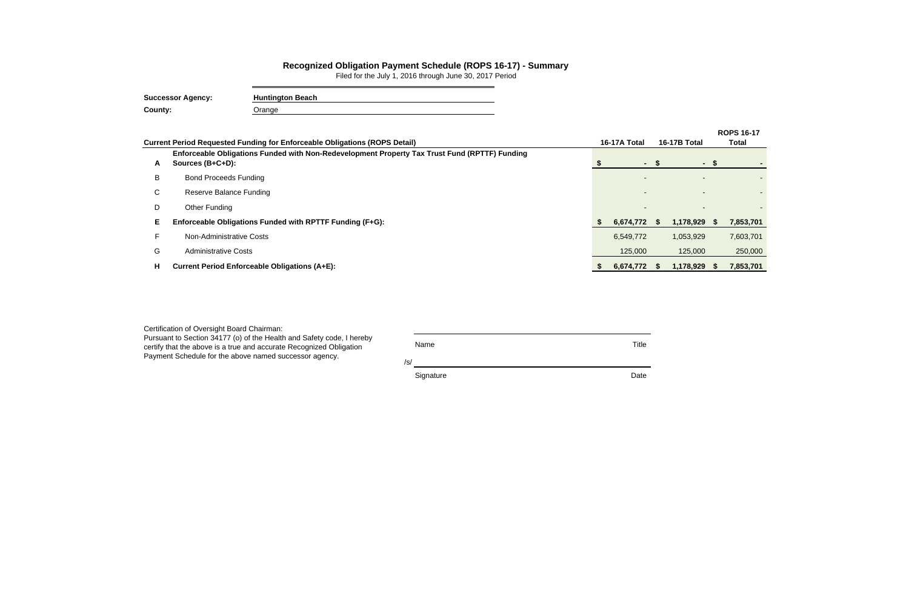|   |                                                                                                                   |    |              |      |                          |       | <b>ROPS 16-17</b> |  |
|---|-------------------------------------------------------------------------------------------------------------------|----|--------------|------|--------------------------|-------|-------------------|--|
|   | <b>Current Period Requested Funding for Enforceable Obligations (ROPS Detail)</b>                                 |    | 16-17A Total |      | 16-17B Total             | Total |                   |  |
| A | Enforceable Obligations Funded with Non-Redevelopment Property Tax Trust Fund (RPTTF) Funding<br>Sources (B+C+D): |    | $\sim$       |      | $\sim$                   |       |                   |  |
| B | <b>Bond Proceeds Funding</b>                                                                                      |    |              |      |                          |       |                   |  |
| C | <b>Reserve Balance Funding</b>                                                                                    |    |              |      | $\overline{\phantom{0}}$ |       |                   |  |
| D | Other Funding                                                                                                     |    |              |      |                          |       |                   |  |
| Е | Enforceable Obligations Funded with RPTTF Funding (F+G):                                                          |    | 6,674,772    |      | 1,178,929                | - 55  | 7,853,701         |  |
|   | Non-Administrative Costs                                                                                          |    | 6,549,772    |      | 1,053,929                |       | 7,603,701         |  |
| G | <b>Administrative Costs</b>                                                                                       |    | 125,000      |      | 125,000                  |       | 250,000           |  |
| н | <b>Current Period Enforceable Obligations (A+E):</b>                                                              | X. | 6,674,772    | - 55 | 1,178,929                | - 56  | 7,853,701         |  |
|   |                                                                                                                   |    |              |      |                          |       |                   |  |

## **Recognized Obligation Payment Schedule (ROPS 16-17) - Summary**

Filed for the July 1, 2016 through June 30, 2017 Period

| <b>Successor Agency:</b> | <b>Huntington Beach</b> |
|--------------------------|-------------------------|
| County:                  | Jrange                  |

| Certification of Oversight Board Chairman:                                                                                                                                                             |             |       |
|--------------------------------------------------------------------------------------------------------------------------------------------------------------------------------------------------------|-------------|-------|
| Pursuant to Section 34177 (o) of the Health and Safety code, I hereby<br>certify that the above is a true and accurate Recognized Obligation<br>Payment Schedule for the above named successor agency. | Name<br>/s/ | Title |
|                                                                                                                                                                                                        | Signature   | Date  |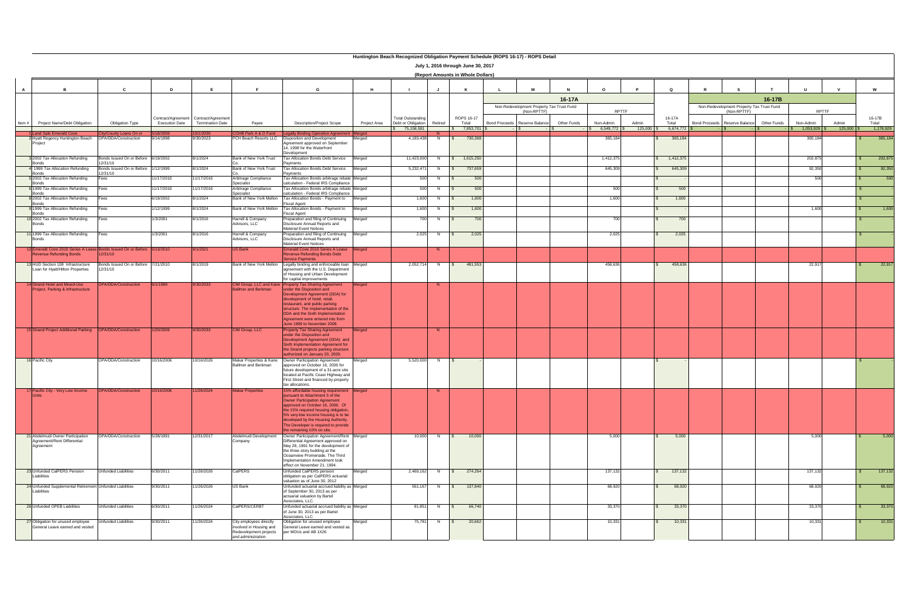|              | manarigion Bodon Rooognized Obrigation Paymont Obriodulo (Rol O To 11) Rol O Betan<br>July 1, 2016 through June 30, 2017<br>(Report Amounts in Whole Dollars) |                                                 |                       |                                                                  |                                                                                                    |                                                                                                                                                                                                                                                                                                                                                      |              |                                                |                       |                         |  |                                                          |             |           |              |                 |                      |                                                          |             |                |                |                 |
|--------------|---------------------------------------------------------------------------------------------------------------------------------------------------------------|-------------------------------------------------|-----------------------|------------------------------------------------------------------|----------------------------------------------------------------------------------------------------|------------------------------------------------------------------------------------------------------------------------------------------------------------------------------------------------------------------------------------------------------------------------------------------------------------------------------------------------------|--------------|------------------------------------------------|-----------------------|-------------------------|--|----------------------------------------------------------|-------------|-----------|--------------|-----------------|----------------------|----------------------------------------------------------|-------------|----------------|----------------|-----------------|
| $\mathsf{A}$ | B                                                                                                                                                             | <sub>c</sub>                                    | D                     | E                                                                | E                                                                                                  | G                                                                                                                                                                                                                                                                                                                                                    | H            |                                                |                       | K                       |  | M                                                        |             | $\Omega$  |              | $\Omega$        |                      |                                                          |             |                |                | W               |
|              |                                                                                                                                                               |                                                 |                       |                                                                  |                                                                                                    |                                                                                                                                                                                                                                                                                                                                                      |              |                                                |                       |                         |  |                                                          | 16-17A      |           |              |                 |                      |                                                          | 16-17B      |                |                |                 |
|              |                                                                                                                                                               |                                                 |                       |                                                                  |                                                                                                    |                                                                                                                                                                                                                                                                                                                                                      |              |                                                |                       |                         |  | Non-Redevelopment Property Tax Trust Fund<br>(Non-RPTTF) |             | RPTTF     |              |                 |                      | Non-Redevelopment Property Tax Trust Fund<br>(Non-RPTTF) |             |                | RPTTF          |                 |
| ltem #       | Project Name/Debt Obligation                                                                                                                                  | <b>Obligation Type</b>                          | <b>Execution Date</b> | Contract/Agreement Contract/Agreement<br><b>Termination Date</b> | Payee                                                                                              | <b>Description/Project Scope</b>                                                                                                                                                                                                                                                                                                                     | Project Area | <b>Total Outstanding</b><br>Debt or Obligation | Retired               | ROPS 16-17<br>Total     |  | Bond Proceeds Reserve Balance                            | Other Funds | Non-Admin | Admin        | 16-17A<br>Total | <b>Bond Proceeds</b> | Reserve Balance                                          | Other Funds | Non-Admin      | Admin          | 16-17B<br>Total |
|              | Land Sale Emerald Cove                                                                                                                                        | <b>County Loans On or</b>                       |                       |                                                                  | OHB Park A & D Fund                                                                                | gally Binding Operative Agree                                                                                                                                                                                                                                                                                                                        |              | 75.158.591                                     |                       | $$7.853.701$ \$         |  |                                                          |             |           | $125.000$ \$ | 6,674,772       |                      |                                                          |             | $1,053,929$ \$ | $125.000$ \ \$ | 1,178,929       |
|              | 2 Hyatt Regency Huntington Beach<br>Project                                                                                                                   | OPA/DDA/Construction                            | 9/14/1998             | 9/30/2023                                                        | PCH Beach Resorts LLC                                                                              | Disposition and Development<br>Agreement approved on September<br>14, 1998 for the Waterfront<br>Development                                                                                                                                                                                                                                         | lerged       | 4,183,438                                      | N                     | 730,368<br>$\mathbb{S}$ |  |                                                          |             | 365,184   |              | 365,184         |                      |                                                          |             | 365,184        |                | 365,184         |
|              | 2002 Tax Allocation Refunding<br>Bonds                                                                                                                        | Bonds Issued On or Before 6/19/2002<br>2/31/10  |                       | 8/1/2024                                                         | Bank of New York Trust                                                                             | Tax Allocation Bonds Debt Service<br>Payments                                                                                                                                                                                                                                                                                                        | Merged       | 11,423,000                                     | $N$                   | \$ 1,615,250            |  |                                                          |             | 1,412,37  |              | 1,412,37        |                      |                                                          |             | 202,87         |                | 202,875         |
|              | 1999 Tax Allocation Refunding<br><b>Bonds</b>                                                                                                                 | Bonds Issued On or Before<br>12/31/10           | 1/12/1999             | 8/1/2024                                                         | Bank of New York Trust                                                                             | <b>Tax Allocation Bonds Debt Service</b><br>Pavments                                                                                                                                                                                                                                                                                                 | Merged       | 5,232,471                                      | N                     | 737,659<br>- SS         |  |                                                          |             | 645,309   |              | 645,309         |                      |                                                          |             | 92,350         |                | 92,350          |
|              | 5 2002 Tax Allocation Refunding<br>Bonds                                                                                                                      | Fees                                            | 1/17/2010             | 11/17/2016                                                       | Arbitrage Compliance<br>Specialist                                                                 | Tax Allocation Bonds arbitrage rebate Merged<br>calculation - Federal IRS Compliance                                                                                                                                                                                                                                                                 |              | 500                                            | N                     | 500                     |  |                                                          |             |           |              |                 |                      |                                                          |             | 500            |                | 500             |
|              | 6 1999 Tax Allocation Refunding<br>Bonds                                                                                                                      | Fees                                            | 1/17/2010             | 11/17/2016                                                       | Arbitrage Compliance<br>pecialist                                                                  | Tax Allocation Bonds arbitrage rebate Merged<br>calculation - Federal IRS Compliance                                                                                                                                                                                                                                                                 |              | 500                                            | N                     | 500                     |  |                                                          |             | 500       |              | 500             |                      |                                                          |             |                |                |                 |
|              | 8 2002 Tax Allocation Refunding<br><b>Bonds</b>                                                                                                               | Fees                                            | 6/19/2002             | 8/1/2024                                                         | Bank of New York Mellon                                                                            | Tax Allocation Bonds - Payment to<br>Fiscal Agent                                                                                                                                                                                                                                                                                                    | Merged       | 1,600                                          | N                     | 1,600                   |  |                                                          |             | 1.600     |              | 1,600           |                      |                                                          |             |                |                |                 |
|              | 9 1999 Tax Allocation Refunding<br><b>Bonds</b>                                                                                                               | Fees                                            | /12/1999              | 8/1/2024                                                         | Bank of New York Mellon                                                                            | Tax Allocation Bonds - Payment to<br><b>Fiscal Agent</b>                                                                                                                                                                                                                                                                                             | Merged       | 1,600                                          | N                     | 1,600                   |  |                                                          |             |           |              |                 |                      |                                                          |             | 1,600          |                | 1,600           |
|              | 10 2002 Tax Allocation Refunding<br><b>Bonds</b>                                                                                                              | Fees                                            | /3/2001               | 8/1/2016                                                         | Harrell & Company<br>Advisors, LLC                                                                 | Preparation and filing of Continuing<br>Disclosure Annual Reports and<br><b>Material Event Notices</b>                                                                                                                                                                                                                                               | vlerged      | 700                                            | N.                    | 700                     |  |                                                          |             | 700       |              | 700             |                      |                                                          |             |                |                |                 |
|              | 11 1999 Tax Allocation Refunding<br><b>Bonds</b>                                                                                                              | Fees                                            | /3/2001               | 8/1/2016                                                         | Harrell & Company<br>Advisors, LLC                                                                 | Preparation and filing of Continuing<br>Disclosure Annual Reports and<br>Material Event Notices                                                                                                                                                                                                                                                      | Merged       |                                                | $2,025$ N             | 2,025<br>$\mathsf{S}$   |  |                                                          |             | 2,025     |              | 2,025           |                      |                                                          |             |                |                |                 |
|              | 12 Emerald Cove 2010 Series A Lease Bonds Issued On or Before 5/13/2010<br><b>Revenue Refunding Bonds</b>                                                     | 12/31/10                                        |                       | 9/1/2021                                                         | <b>US Bank</b>                                                                                     | merald Cove 2010 Series A Lease<br>Revenue Refunding Bonds Debt<br><b>Service Payments</b>                                                                                                                                                                                                                                                           | Merged       |                                                | -N                    |                         |  |                                                          |             |           |              |                 |                      |                                                          |             |                |                |                 |
|              | 13 HUD Section 108 Infrastructure<br>Loan for Hyatt/Hilton Properties                                                                                         | Bonds Issued On or Before 7/21/2010<br>12/31/10 |                       | 8/1/2019                                                         | Bank of New York Mellon                                                                            | Legally binding and enforceable loan<br>agreement with the U.S. Department<br>of Housing and Urban Development<br>for capital improvements                                                                                                                                                                                                           | Merged       | 2,052,714                                      | N.                    | 481,553                 |  |                                                          |             | 458,636   |              | 458,636         |                      |                                                          |             | 22,91          |                | 22,917          |
|              | 14 Strand Hotel and Mixed-Use<br>Project, Parking & Infrastructure                                                                                            | OPA/DDA/Construction                            | 6/1/1999              | 9/30/2033                                                        | Ballmer and Berkman                                                                                | CIM Group, LLC and Kane Property Tax Sharing Agreement<br>under the Disposition and<br>Development Agreement (DDA) for<br>development of hotel, retail,<br>restaurant, and public parking<br>structure. The Implementation of the<br>DDA and the Sixth Implementation<br>Agreement were entered into from<br>June 1999 to November 2008.             | Merged       |                                                | -N                    |                         |  |                                                          |             |           |              |                 |                      |                                                          |             |                |                |                 |
|              | 15 Strand Project Additional Parking                                                                                                                          | <b>PA/DDA/Construction</b>                      | /20/2009              | 9/30/2033                                                        | CIM Group, LLC                                                                                     | roperty Tax Sharing Agreement<br>under the Disposition and<br>Development Agreement (DDA) and<br>Sixth Implementation Agreement for<br>the Strand projects parking structure<br>authorized on January 20, 2009.                                                                                                                                      | Merged       |                                                |                       |                         |  |                                                          |             |           |              |                 |                      |                                                          |             |                |                |                 |
|              | 16 Pacific City                                                                                                                                               | OPA/DDA/Construction                            | 10/16/2006            | 10/16/2026                                                       | Makar Properties & Kane<br>Ballmer and Berkman                                                     | Owner Participation Agreement<br>approved on October 16, 2006 for<br>future development of a 31-acre site<br>located at Pacific Coast Highway and<br>First Street and financed by property<br>tax allocations.                                                                                                                                       | Merged       | 5,520,000                                      | N                     | $\mathcal{S}$           |  |                                                          |             |           |              |                 |                      |                                                          |             |                |                |                 |
|              | 17 Pacific City - Very Low Income OPA/DDA/Construction 10/16/2006 11/26/2024<br><b>Units</b>                                                                  |                                                 |                       |                                                                  | <b>Makar Properties</b>                                                                            | 15% affordable housing requirement Merged<br>pursuant to Attachment 5 of the<br><b>Owner Participation Agreement</b><br>approved on October 16, 2006. Of<br>the 15% required housing obligation,<br>5% very-low income housing is to be<br>developed by the Housing Authority.<br>The Developer is required to provide<br>the remaining 10% on site. |              |                                                | $\blacksquare$        |                         |  |                                                          |             |           |              |                 |                      |                                                          |             |                |                |                 |
|              | 21 Abdelmudi Owner Participation<br>Agreement/Rent Differential<br>Agreement                                                                                  | OPA/DDA/Construction                            | 5/28/1991             | 12/31/2017                                                       | Abdelmudi Development<br>Company                                                                   | Owner Participation Agreement/Rent Merged<br>Differential Agreement approved on<br>May 28, 1991 for the development of<br>the three story building at the<br>Oceanview Promenade. The Third<br>Implementation Amendment took<br>effect on November 21, 1994.                                                                                         |              |                                                | 10,000 N              | 10,000<br>$\mathsf{S}$  |  |                                                          |             | 5,000     |              | 5,000           |                      |                                                          |             | 5,000          |                | 5,000           |
|              | 23 Unfunded CalPERS Pension<br>Liabilities                                                                                                                    | <b>Unfunded Liabilities</b>                     | 6/30/2011             | 11/26/2026                                                       | CalPERS                                                                                            | Unfunded CalPERS pension<br>obligation as per CalPERS actuarial<br>valuation as of June 30, 2012                                                                                                                                                                                                                                                     | Merged       |                                                |                       | 2,469,162 N \$ 274,264  |  |                                                          |             | 137,132   |              | 137,132         |                      |                                                          |             | 137,132        |                | 137,132         |
|              | 24 Unfunded Supplemental Retirement Unfunded Liabilities<br>Liabilities                                                                                       |                                                 | 9/30/2011             | 11/26/2026                                                       | US Bank                                                                                            | Unfunded actuarial accrued liability as Merged<br>of September 30, 2013 as per<br>actuarial valuation by Bartel<br>Associates, LLC.                                                                                                                                                                                                                  |              |                                                |                       | 561,167 N \$ 137,840    |  |                                                          |             | 68,920    |              | 68,920          |                      |                                                          |             | 68,920         |                | 68,920          |
|              | 26 Unfunded OPEB Liabilities                                                                                                                                  | Unfunded Liabilities                            | 6/30/2011             | 11/26/2024                                                       | CalPERS/CERBT                                                                                      | Unfunded actuarial accrued liability as Merged<br>of June 30, 2013 as per Bartel<br>Associates, LLC.                                                                                                                                                                                                                                                 |              |                                                | $81,851$ N $\sqrt{5}$ | 66,740                  |  |                                                          |             | 33,370    |              | 33,370          |                      |                                                          |             | 33,370         |                | 33,370          |
|              | 27 Obligation for unused employee<br>General Leave earned and vested                                                                                          | Unfunded Liabilities                            | 9/30/2011             | 11/26/2024                                                       | City employees directly<br>involved in Housing and<br>Redevelopment projects<br>and administration | Obligation for unused employee<br>General Leave earned and vested as<br>per MOUs and AB 1X26                                                                                                                                                                                                                                                         | Merged       |                                                | 75,781 N \$           | 20,662                  |  |                                                          |             | 10,331    |              | 10,331          |                      |                                                          |             | 10,331         |                | 10,331          |

| Huntington Beach Recognized Obligation Payment Schedule (ROPS 16-17) - ROPS Detail |  |  |
|------------------------------------------------------------------------------------|--|--|
|------------------------------------------------------------------------------------|--|--|

| <b>Report Amounts in Whole Dollars)</b> |  |  |
|-----------------------------------------|--|--|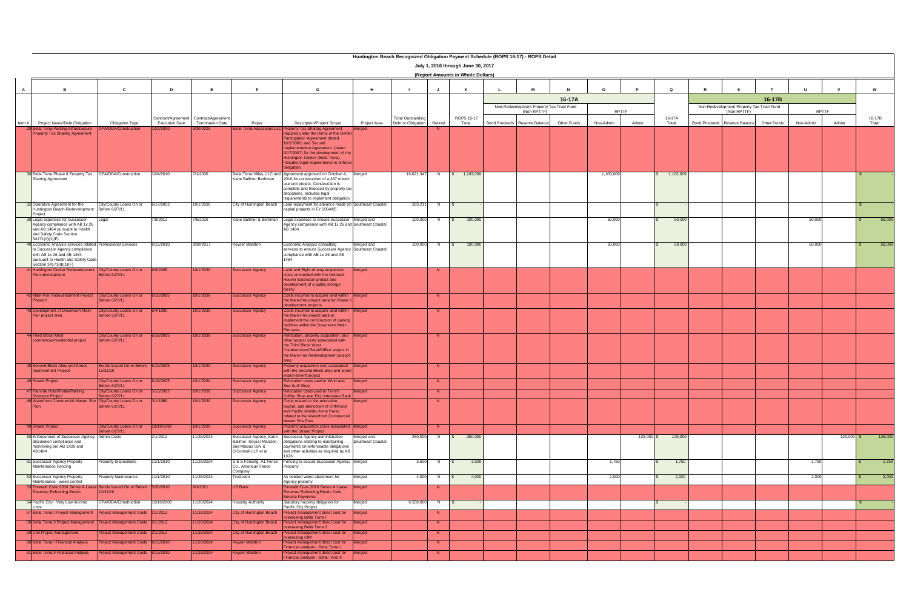### **Huntington Beach Recognized Obligation Payment Schedule (ROPS 16-17) - ROPS Detail**

 $\overline{\phantom{a}}$ 

| <b>Report Amounts in Whole Dollars)</b> |  |  |
|-----------------------------------------|--|--|

|              | <b>Huntington Beach Recognized Obligation Faynent Schedule (ROFS 10-17) - ROFS Betal</b><br>July 1, 2016 through June 30, 2017<br>(Report Amounts in Whole Dollars)                        |                                                 |                       |                                                                  |                                                                                                |                                                                                                                                                                                                                                                                                                                                              |                                 |                                                |                      |                         |  |                                                          |             |           |              |                 |                                                          |             |              |              |                 |
|--------------|--------------------------------------------------------------------------------------------------------------------------------------------------------------------------------------------|-------------------------------------------------|-----------------------|------------------------------------------------------------------|------------------------------------------------------------------------------------------------|----------------------------------------------------------------------------------------------------------------------------------------------------------------------------------------------------------------------------------------------------------------------------------------------------------------------------------------------|---------------------------------|------------------------------------------------|----------------------|-------------------------|--|----------------------------------------------------------|-------------|-----------|--------------|-----------------|----------------------------------------------------------|-------------|--------------|--------------|-----------------|
| $\mathsf{A}$ | <b>B</b>                                                                                                                                                                                   | C                                               | D                     | E                                                                | E                                                                                              | G                                                                                                                                                                                                                                                                                                                                            | H                               |                                                | <b>J</b>             | K                       |  | м                                                        |             | $\Omega$  |              | $\circ$         |                                                          |             | $\mathbf{u}$ |              | W               |
|              |                                                                                                                                                                                            |                                                 |                       |                                                                  |                                                                                                |                                                                                                                                                                                                                                                                                                                                              |                                 |                                                |                      |                         |  |                                                          | 16-17A      |           |              |                 |                                                          | 16-17B      |              |              |                 |
|              |                                                                                                                                                                                            |                                                 |                       |                                                                  |                                                                                                |                                                                                                                                                                                                                                                                                                                                              |                                 |                                                |                      |                         |  | Non-Redevelopment Property Tax Trust Fund<br>(Non-RPTTF) |             |           | RPTTF        |                 | Non-Redevelopment Property Tax Trust Fund<br>(Non-RPTTF) |             |              | RPTTF        |                 |
|              | Item # Project Name/Debt Obligation                                                                                                                                                        | <b>Obligation Type</b>                          | <b>Execution Date</b> | Contract/Agreement Contract/Agreement<br><b>Termination Date</b> | Payee                                                                                          | <b>Description/Project Scope</b>                                                                                                                                                                                                                                                                                                             | Project Area                    | <b>Total Outstanding</b><br>Debt or Obligation | Retired              | ROPS 16-17<br>Total     |  | Bond Proceeds Reserve Balance                            | Other Funds | Non-Admin | Admin        | 16-17A<br>Total | Bond Proceeds Reserve Balance                            | Other Funds | Non-Admin    | Admin        | 16-17B<br>Total |
|              | 29 Bella Terra Parking Infrastructure<br><b>Property Tax Sharing Agreement</b>                                                                                                             | <b>PA/DDA/Construction</b>                      | 0/2/2000              | /30/202                                                          |                                                                                                | Bella Terra Associates LLC Property Tax Sharing Agreement<br>required under the terms of the Owner<br><b>Participation Agreement (dated</b><br>10/2/2000) and Second<br>Implementation Agreement (dated<br>9/17/2007) for the development of the<br>Huntington Center (Bella Terra).<br>Includes legal requirements to enforce<br>obligation |                                 |                                                |                      |                         |  |                                                          |             |           |              |                 |                                                          |             |              |              |                 |
|              | 30 Bella Terra Phase II Property Tax  OPA/DDA/Construction<br>Sharing Agreement                                                                                                            |                                                 | 10/4/2010             | /1/2036                                                          | Kane Ballmer Berkman                                                                           | Bella Terra Villas, LLC and Agreement approved on October 4,<br>2010 for construction of a 467 mixed-<br>use unit project. Construction is<br>complete and financed by property tax<br>allocations. Includes legal<br>requirements to implement obligation.                                                                                  | Merged                          | 16,621,347                                     | N.                   | $\frac{1}{2}$ 1,103,009 |  |                                                          |             | 1,103,009 |              | 1,103,009       |                                                          |             |              |              |                 |
|              | 32 Operative Agreement for the<br>Huntington Beach Redevelopment<br>Project                                                                                                                | City/County Loans On or<br>Before 6/27/11       | 6/17/2002             | 10/1/2030                                                        | City of Huntington Beach                                                                       | Loan repayment for advance made on Southeast Coastal<br>capital projects in FY 2004/05                                                                                                                                                                                                                                                       |                                 | 283,211                                        | N                    | $\sqrt{S}$              |  |                                                          |             |           |              |                 |                                                          |             |              |              |                 |
|              | 39 Legal expenses for Successor<br>Agency compliance with AB 1x 26<br>and AB 1484 pursuant to Health<br>and Safety Code Section<br>34171(d)(1)(F)                                          | Legal                                           | 7/8/2012              | 7/8/2016                                                         | Kane Ballmer & Berkman                                                                         | Legal expenses to ensure Successor Merged and<br>Agency compliance with AB 1x 26 and Southeast Coastal<br>AB 1484                                                                                                                                                                                                                            |                                 | 100,000                                        | $N$ $S$              | 100,000                 |  |                                                          |             | 50,000    |              | 50,000          |                                                          |             | 50,000       |              | 50,000          |
|              | 40 Economic Analysis services related Professional Services<br>to Successor Agency compliance<br>with AB 1x 26 and AB 1484<br>pursuant to Health and Safety Code<br>Section 34171(d)(1)(F) |                                                 | 6/15/2010             | 9/30/2017                                                        | <b>Keyser Marston</b>                                                                          | Economic Analysis consulting<br>services to ensure Successor Agency Southeast Coastal<br>compliance with AB 1x 26 and AB<br>1484                                                                                                                                                                                                             | Merged and                      | 100,000                                        | N                    | 100,000<br>$\mathsf{S}$ |  |                                                          |             | 50,000    |              | 50,000          |                                                          |             | 50,000       |              | 50,000          |
|              | 41 Huntington Center Redevelopment City/County Loans On or<br>Plan development                                                                                                             | Before 6/27/11                                  | 6/9/2005              | 10/1/2030                                                        | <b>Successor Agency</b>                                                                        | Land and Right-of-way acquisition<br>costs connected with the Gothard-<br>Hoover Extension project and<br>development of a public storage<br>facility                                                                                                                                                                                        | Merged                          |                                                | - N                  |                         |  |                                                          |             |           |              |                 |                                                          |             |              |              |                 |
|              | 42 Main-Pier Redevelopment Project City/County Loans On or<br>Phase II                                                                                                                     | efore 6/27/11                                   | 3/10/2005             | 10/1/2030                                                        | <b>Successor Agency</b>                                                                        | Costs incurred to acquire land within Merged<br>the Main-Pier project area for Phase I<br>development projects                                                                                                                                                                                                                               |                                 |                                                | N.                   |                         |  |                                                          |             |           |              |                 |                                                          |             |              |              |                 |
|              | 43 Development of Downtown Main-<br>Pier project area                                                                                                                                      | City/County Loans On or<br>efore 6/27/11        | 6/4/1990              | 10/1/2030                                                        | <b>Successor Agency</b>                                                                        | Costs incurred to acquire land within Merged<br>he Main-Pier project area to<br>mplement the construction of parking<br>facilities within the Downtown Main-<br>Pier area                                                                                                                                                                    |                                 |                                                | - N                  |                         |  |                                                          |             |           |              |                 |                                                          |             |              |              |                 |
|              | 44 Third Block West<br>commercial/residential project                                                                                                                                      | City/County Loans On or<br>Before 6/27/11       | 3/18/2005             | 10/1/2030                                                        | <b>Successor Agency</b>                                                                        | elocation, property acquisition, and Merged<br>other project costs associated with<br>the Third Block West<br>Condominium/Retail/Office project in<br>the Main-Pier Redevelopment project                                                                                                                                                    |                                 |                                                | N.                   |                         |  |                                                          |             |           |              |                 |                                                          |             |              |              |                 |
|              | 45 Second Block Alley and Street<br><b>Improvement Project</b>                                                                                                                             | Bonds Issued On or Before 6/10/2005<br>12/31/10 |                       | 10/1/2030                                                        | <b>Successor Agency</b>                                                                        | Property acquisition cost associated<br>with the Second Block alley and street<br>mprovement project                                                                                                                                                                                                                                         | Merged                          |                                                | - N                  |                         |  |                                                          |             |           |              |                 |                                                          |             |              |              |                 |
|              | <b>46 Strand Project</b>                                                                                                                                                                   | City/County Loans On or<br>efore 6/27/11        | 3/18/2005             | 10/1/2030                                                        | <b>Successor Agency</b>                                                                        | Relocation costs paid to Wind and<br>Sea Surf Shop                                                                                                                                                                                                                                                                                           | Merged                          |                                                | N                    |                         |  |                                                          |             |           |              |                 |                                                          |             |              |              |                 |
|              | 47 Piersige Hotel/Retail/Parking<br><b>Structure Project</b>                                                                                                                               | ilwounty Loans On or<br>Before 6/27/11          | <b>PART /CL/CL</b>    | 10/1/ZU3U                                                        | iuccessor Agency                                                                               | Callon costs paid to Terry's the<br>Coffee Shop and First Interstate Bank                                                                                                                                                                                                                                                                    | ergea                           |                                                |                      |                         |  |                                                          |             |           |              |                 |                                                          |             |              |              |                 |
|              | 48 Waterfront Commercial Master Site City/County Loans On or                                                                                                                               | efore 6/27/11                                   | 3/1/1989              | 10/1/2030                                                        | <b>Successor Agency</b>                                                                        | Costs related to the relocation,<br>buyout, and demolition of Driftwood<br>and Pacific Mobile Home Parks<br>related to the Waterfront Commercial<br>Master Site Plan                                                                                                                                                                         | <b>Aerged</b>                   |                                                | N.                   |                         |  |                                                          |             |           |              |                 |                                                          |             |              |              |                 |
|              | 49 Strand Project                                                                                                                                                                          | City/County Loans On or<br>efore 6/27/11        | 10/19/1992            | 10/1/2030                                                        | <b>Successor Agency</b>                                                                        | Property acquisition costs associated Merged<br>vith the Strand Project                                                                                                                                                                                                                                                                      |                                 |                                                | N.                   |                         |  |                                                          |             |           |              |                 |                                                          |             |              |              |                 |
|              | 50 Enforcement of Successor Agency Admin Costs<br>dissolution compliance and<br>monitoring per AB 1X26 and<br>AB1484                                                                       |                                                 | 2/1/2012              | 1/26/2024                                                        | Successor Agency, Kane<br>Ballmer, Keyser Marston,<br>and Macias Gini &<br>O'Connell LLP et al | Successor Agency administrative<br>obligations relating to maintaining<br>payments on enforceable obligations<br>and other activities as required by AB<br>1X26                                                                                                                                                                              | Merged and<br>Southeast Coastal | 250,000                                        | N                    | 250,000<br>$\sqrt{5}$   |  |                                                          |             |           | $125,000$ \$ | 125,000         |                                                          |             |              | $125,000$ \$ | 125,000         |
|              | 51 Successor Agency Property<br>Maintenance Fencing                                                                                                                                        | <b>Property Dispositions</b>                    | 11/1/2010             | 11/26/2024                                                       | S & S Fencing, A1 Fence<br>Co., American Fence<br>Company                                      | Fencing to secure Successor Agency Merged<br>Property                                                                                                                                                                                                                                                                                        |                                 |                                                | $3,500$ N $\sqrt{5}$ | 3,500                   |  |                                                          |             | 1,750     |              | 1,750           |                                                          |             | 1,750        |              | 1,750           |
|              | 52 Successor Agency Property<br>Maintenance - weed control                                                                                                                                 | Property Maintenance                            | 1/1/2010              | 1/26/2024                                                        | TruGreen                                                                                       | As needed weed abatement for<br>Agency property                                                                                                                                                                                                                                                                                              | Aerged                          | 4,000                                          | N                    | 4,000<br>IS-            |  |                                                          |             | 2,000     |              | 2,000           |                                                          |             | 2,000        |              | 2,000           |
|              | 53 Emerald Cove 2010 Series A Lease Bonds Issued On or Before 5/30/2010<br><b>Revenue Refunding Bonds</b>                                                                                  | 12/31/10                                        |                       | 9/1/2021                                                         | <b>US Bank</b>                                                                                 | Emerald Cove 2010 Series A Lease<br>Revenue Refunding Bonds Debt<br>Service Payments                                                                                                                                                                                                                                                         | Merged                          |                                                | N                    |                         |  |                                                          |             |           |              |                 |                                                          |             |              |              |                 |
|              | 54 Pacific City - Very Low Income<br><b>Units</b>                                                                                                                                          | OPA/DDA/Construction                            | 10/16/2006            | 1/26/2024                                                        | Housing Authority                                                                              | Statutory housing obligation for<br>Pacific City Project                                                                                                                                                                                                                                                                                     | Merged                          | 6,500,000                                      | N.                   | $\mathbf{s}$            |  |                                                          |             |           |              |                 |                                                          |             |              |              |                 |
|              | 57 Bella Terra I Project Management                                                                                                                                                        | roject Management Costs                         | 2/1/2012              | 11/26/2024                                                       | <b>City of Huntington Beach</b>                                                                | Project management direct cost for<br><b>Diverseeing Bella Terra I</b>                                                                                                                                                                                                                                                                       | Merged                          |                                                | N                    |                         |  |                                                          |             |           |              |                 |                                                          |             |              |              |                 |
|              | 58 Bella Terra II Project Management                                                                                                                                                       | roject Management Costs 2/1/2012                |                       | 1/26/2024                                                        | <b>City of Huntington Beach</b>                                                                | Project management direct cost for<br><b>overseeing Bella Terra 2</b>                                                                                                                                                                                                                                                                        | Merged                          |                                                | N                    |                         |  |                                                          |             |           |              |                 |                                                          |             |              |              |                 |
|              | 59 CIM Project Management                                                                                                                                                                  | roject Management Costs 2/1/2012                |                       | 11/26/2024                                                       | <b>City of Huntington Beach</b>                                                                | Project management direct cost for<br>overseeing CIM                                                                                                                                                                                                                                                                                         | Merged                          |                                                | N.                   |                         |  |                                                          |             |           |              |                 |                                                          |             |              |              |                 |
|              | 60 Bella Terra I Financial Analysis                                                                                                                                                        | roject Management Costs 6/15/2010               |                       | 11/26/2024                                                       | <b>Keyser Marston</b>                                                                          | roject management direct cost for<br>inancial analysis - Bella Terra I                                                                                                                                                                                                                                                                       | Merged                          |                                                | N.                   |                         |  |                                                          |             |           |              |                 |                                                          |             |              |              |                 |
|              | 61 Bella Terra II Financial Analysis                                                                                                                                                       | roject Management Costs 6/15/2010               |                       | 1/26/2024                                                        | <b>Keyser Marston</b>                                                                          | Project management direct cost for<br>inancial analysis - Bella Terra II                                                                                                                                                                                                                                                                     | Merged                          |                                                | N,                   |                         |  |                                                          |             |           |              |                 |                                                          |             |              |              |                 |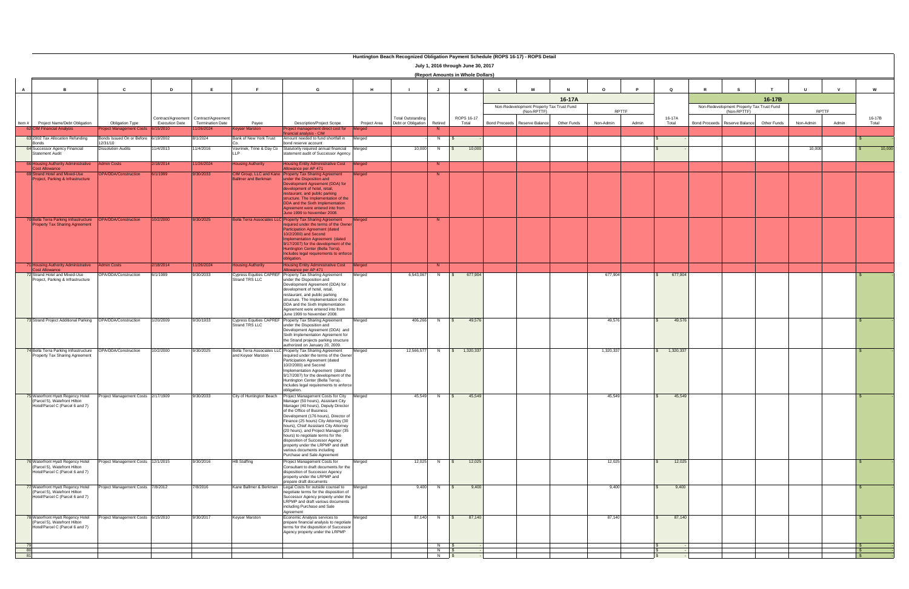|   | Huntington Beach Recognized Obligation Payment Schedule (ROPS 16-17) - ROPS Detail |                                      |                       |                                       |                                                  |                                                                              |              |                          |                        |                                    |                                                          |             |           |       |           |                                           |             |             |           |       |        |
|---|------------------------------------------------------------------------------------|--------------------------------------|-----------------------|---------------------------------------|--------------------------------------------------|------------------------------------------------------------------------------|--------------|--------------------------|------------------------|------------------------------------|----------------------------------------------------------|-------------|-----------|-------|-----------|-------------------------------------------|-------------|-------------|-----------|-------|--------|
|   |                                                                                    |                                      |                       |                                       |                                                  |                                                                              |              |                          |                        | July 1, 2016 through June 30, 2017 |                                                          |             |           |       |           |                                           |             |             |           |       |        |
|   |                                                                                    |                                      |                       |                                       |                                                  |                                                                              |              |                          |                        | (Report Amounts in Whole Dollars)  |                                                          |             |           |       |           |                                           |             |             |           |       |        |
|   |                                                                                    |                                      |                       |                                       |                                                  |                                                                              |              |                          |                        |                                    |                                                          |             |           |       |           |                                           |             |             |           |       |        |
| A |                                                                                    | $\mathbf{c}$                         | D                     | E                                     | E                                                | G                                                                            | H            |                          |                        | K                                  |                                                          |             | $\Omega$  |       | Q         |                                           |             |             |           |       | W      |
|   |                                                                                    |                                      |                       |                                       |                                                  |                                                                              |              |                          |                        |                                    |                                                          |             |           |       |           |                                           |             |             |           |       |        |
|   |                                                                                    |                                      |                       |                                       |                                                  |                                                                              |              |                          |                        |                                    |                                                          | 16-17A      |           |       |           |                                           |             | 16-17B      |           |       |        |
|   |                                                                                    |                                      |                       |                                       |                                                  |                                                                              |              |                          |                        |                                    | Non-Redevelopment Property Tax Trust Fund<br>(Non-RPTTF) |             |           | RPTTF |           | Non-Redevelopment Property Tax Trust Fund | (Non-RPTTF) |             | RPTTF     |       |        |
|   |                                                                                    |                                      |                       | Contract/Agreement Contract/Agreement |                                                  |                                                                              |              | <b>Total Outstanding</b> |                        | ROPS 16-17                         |                                                          |             |           |       | 16-17A    |                                           |             |             |           |       | 16-17B |
|   | Item # Project Name/Debt Obligation                                                | <b>Obligation Type</b>               | <b>Execution Date</b> | <b>Termination Date</b>               | Payee                                            | <b>Description/Project Scope</b>                                             | Project Area | Debt or Obligation       | Retired                | Total                              | Bond Proceeds Reserve Balance                            | Other Funds | Non-Admin | Admin | Total     | Bond Proceeds Reserve Balance             |             | Other Funds | Non-Admin | Admin | Total  |
|   | 62 CIM Financial Analysis                                                          | oject Management Costs               | 6/15/2010             | 1/26/2024                             | <b>Keyser Marston</b>                            | oject management direct cost for<br>ancial analysis - CIM                    |              |                          |                        |                                    |                                                          |             |           |       |           |                                           |             |             |           |       |        |
|   | 63 2002 Tax Allocation Refunding                                                   | onds Issued On or Before 6/19/2002   |                       | 3/1/2024                              | Bank of New York Trust                           | Amount needed to fund shortfall in                                           | Merged       |                          | N                      |                                    |                                                          |             |           |       |           |                                           |             |             |           |       |        |
|   | Bonds<br>64 Successor Agency Financial                                             | 2/31/10<br><b>Dissolution Audits</b> | 11/4/2013             | 11/4/2016                             | Vavrinek, Trine & Day Co                         | oond reserve account<br>Statutorily required annual financial                | Merged       | 10,000                   | N                      | 10,000                             |                                                          |             |           |       |           |                                           |             |             | 10,000    |       | 10,000 |
|   | Statement Audit                                                                    |                                      |                       |                                       |                                                  | tatement audit of Successor Agency                                           |              |                          |                        | $\mathbb{S}$                       |                                                          |             |           |       |           |                                           |             |             |           |       |        |
|   | 66 Housing Authority Administrative                                                | <b>Admin Costs</b>                   | 2/18/2014             | 11/26/2024                            | <b>Housing Authority</b>                         | <b>Housing Entity Administrative Cost</b>                                    | Merged       |                          | N                      |                                    |                                                          |             |           |       |           |                                           |             |             |           |       |        |
|   | <b>Cost Allowance</b>                                                              |                                      |                       |                                       |                                                  | llowance per AP 471                                                          |              |                          |                        |                                    |                                                          |             |           |       |           |                                           |             |             |           |       |        |
|   | 69 Strand Hotel and Mixed-Use<br>Project, Parking & Infrastructure                 | PA/DDA/Construction                  | 6/1/1999              | 9/30/2033                             | CIM Group, LLC and Kane                          | <b>Property Tax Sharing Agreement</b><br>under the Disposition and           | veraec       |                          | N.                     |                                    |                                                          |             |           |       |           |                                           |             |             |           |       |        |
|   |                                                                                    |                                      |                       |                                       | allmer and Berkman                               | Development Agreement (DDA) for                                              |              |                          |                        |                                    |                                                          |             |           |       |           |                                           |             |             |           |       |        |
|   |                                                                                    |                                      |                       |                                       |                                                  | development of hotel, retail,                                                |              |                          |                        |                                    |                                                          |             |           |       |           |                                           |             |             |           |       |        |
|   |                                                                                    |                                      |                       |                                       |                                                  | estaurant, and public parking<br>structure. The Implementation of the        |              |                          |                        |                                    |                                                          |             |           |       |           |                                           |             |             |           |       |        |
|   |                                                                                    |                                      |                       |                                       |                                                  | DDA and the Sixth Implementation                                             |              |                          |                        |                                    |                                                          |             |           |       |           |                                           |             |             |           |       |        |
|   |                                                                                    |                                      |                       |                                       |                                                  | Agreement were entered into from<br>June 1999 to November 2008.              |              |                          |                        |                                    |                                                          |             |           |       |           |                                           |             |             |           |       |        |
|   | 70 Bella Terra Parking Infrastructure                                              | <b>PA/DDA/Construction</b>           | 10/2/2000             | 9/30/2025                             | ella Terra Associates LL                         | <b>Property Tax Sharing Agreement</b>                                        |              |                          |                        |                                    |                                                          |             |           |       |           |                                           |             |             |           |       |        |
|   | <b>Property Tax Sharing Agreement</b>                                              |                                      |                       |                                       |                                                  | equired under the terms of the Owne                                          |              |                          |                        |                                    |                                                          |             |           |       |           |                                           |             |             |           |       |        |
|   |                                                                                    |                                      |                       |                                       |                                                  | Participation Agreement (dated<br>10/2/2000) and Second                      |              |                          |                        |                                    |                                                          |             |           |       |           |                                           |             |             |           |       |        |
|   |                                                                                    |                                      |                       |                                       |                                                  | mplementation Agreement (dated                                               |              |                          |                        |                                    |                                                          |             |           |       |           |                                           |             |             |           |       |        |
|   |                                                                                    |                                      |                       |                                       |                                                  | 9/17/2007) for the development of the<br>Huntington Center (Bella Terra).    |              |                          |                        |                                    |                                                          |             |           |       |           |                                           |             |             |           |       |        |
|   |                                                                                    |                                      |                       |                                       |                                                  | ncludes legal requirements to enforce                                        |              |                          |                        |                                    |                                                          |             |           |       |           |                                           |             |             |           |       |        |
|   |                                                                                    | <b>Admin Costs</b>                   |                       |                                       |                                                  | bligation.                                                                   |              |                          |                        |                                    |                                                          |             |           |       |           |                                           |             |             |           |       |        |
|   | 71 Housing Authority Administrative<br><b>Cost Allowance</b>                       |                                      | 2/18/2014             | 11/26/2024                            | lousing Authority                                | Housing Entity Administrative Cost<br>Allowance per AP 471                   | Merged       |                          | N.                     |                                    |                                                          |             |           |       |           |                                           |             |             |           |       |        |
|   | 72 Strand Hotel and Mixed-Use                                                      | OPA/DDA/Construction                 | 6/1/1999              | 9/30/2033                             | <b>Cypress Equities CAPREI</b><br>Strand TRS LLC | Property Tax Sharing Agreement<br>under the Disposition and                  | Merged       | 6,543,067                | N                      | 677,904                            |                                                          |             | 677,904   |       | 677,904   |                                           |             |             |           |       |        |
|   | Project, Parking & Infrastructure                                                  |                                      |                       |                                       |                                                  | Development Agreement (DDA) for                                              |              |                          |                        |                                    |                                                          |             |           |       |           |                                           |             |             |           |       |        |
|   |                                                                                    |                                      |                       |                                       |                                                  | development of hotel, retail,                                                |              |                          |                        |                                    |                                                          |             |           |       |           |                                           |             |             |           |       |        |
|   |                                                                                    |                                      |                       |                                       |                                                  | restaurant, and public parking<br>structure. The Implementation of the       |              |                          |                        |                                    |                                                          |             |           |       |           |                                           |             |             |           |       |        |
|   |                                                                                    |                                      |                       |                                       |                                                  | DDA and the Sixth Implementation                                             |              |                          |                        |                                    |                                                          |             |           |       |           |                                           |             |             |           |       |        |
|   |                                                                                    |                                      |                       |                                       |                                                  | Agreement were entered into from<br>June 1999 to November 2008.              |              |                          |                        |                                    |                                                          |             |           |       |           |                                           |             |             |           |       |        |
|   | 73 Strand Project Additional Parking                                               | OPA/DDA/Construction                 | 1/20/2009             | 9/30/1933                             | <b>Cypress Equities CAPREF</b>                   | Property Tax Sharing Agreement                                               | Merged       | 406,266                  | N                      | 49,576<br>$\sqrt{s}$               |                                                          |             | 49,576    |       | 49,576    |                                           |             |             |           |       |        |
|   |                                                                                    |                                      |                       |                                       | Strand TRS LLC                                   | under the Disposition and                                                    |              |                          |                        |                                    |                                                          |             |           |       |           |                                           |             |             |           |       |        |
|   |                                                                                    |                                      |                       |                                       |                                                  | Development Agreement (DDA) and<br>Sixth Implementation Agreement for        |              |                          |                        |                                    |                                                          |             |           |       |           |                                           |             |             |           |       |        |
|   |                                                                                    |                                      |                       |                                       |                                                  | the Strand projects parking structure                                        |              |                          |                        |                                    |                                                          |             |           |       |           |                                           |             |             |           |       |        |
|   | 74 Bella Terra Parking Infrastructure                                              | OPA/DDA/Construction                 |                       | 9/30/2025                             | Bella Terra Associates LLO                       | authorized on January 20, 2009.<br>Property Tax Sharing Agreement            |              | 12,566,577               | N                      | $\frac{1}{2}$ 1,320,337            |                                                          |             | 1,320,337 |       | 1,320,337 |                                           |             |             |           |       |        |
|   | Property Tax Sharing Agreement                                                     |                                      | 10/2/2000             |                                       | and Keyser Marston                               | required under the terms of the Owner                                        | Merged       |                          |                        |                                    |                                                          |             |           |       |           |                                           |             |             |           |       |        |
|   |                                                                                    |                                      |                       |                                       |                                                  | Participation Agreement (dated<br>10/2/2000) and Second                      |              |                          |                        |                                    |                                                          |             |           |       |           |                                           |             |             |           |       |        |
|   |                                                                                    |                                      |                       |                                       |                                                  | Implementation Agreement (dated                                              |              |                          |                        |                                    |                                                          |             |           |       |           |                                           |             |             |           |       |        |
|   |                                                                                    |                                      |                       |                                       |                                                  | 9/17/2007) for the development of the                                        |              |                          |                        |                                    |                                                          |             |           |       |           |                                           |             |             |           |       |        |
|   |                                                                                    |                                      |                       |                                       |                                                  | Huntington Center (Bella Terra).<br>Includes legal requirements to enforce   |              |                          |                        |                                    |                                                          |             |           |       |           |                                           |             |             |           |       |        |
|   |                                                                                    |                                      |                       |                                       |                                                  | obligation.                                                                  |              |                          |                        |                                    |                                                          |             |           |       |           |                                           |             |             |           |       |        |
|   | 75 Waterfront Hyatt Regency Hotel<br>(Parcel 5), Watefront Hilton                  | Project Management Costs 2/17/1909   |                       | 9/30/2033                             | City of Huntington Beach                         | Project Management Costs for City                                            | Merged       | 45,549                   | N                      | 45,549<br>$\sqrt{S}$               |                                                          |             | 45,549    |       | 45,549    |                                           |             |             |           |       |        |
|   | Hotel/Parcel C (Parcel 6 and 7)                                                    |                                      |                       |                                       |                                                  | Manager (50 hours), Assistant City<br>Manager (40 hours), Deputy Director    |              |                          |                        |                                    |                                                          |             |           |       |           |                                           |             |             |           |       |        |
|   |                                                                                    |                                      |                       |                                       |                                                  | of the Office of Business                                                    |              |                          |                        |                                    |                                                          |             |           |       |           |                                           |             |             |           |       |        |
|   |                                                                                    |                                      |                       |                                       |                                                  | Development (176 hours), Director of<br>Finance (25 hours) City Attorney (30 |              |                          |                        |                                    |                                                          |             |           |       |           |                                           |             |             |           |       |        |
|   |                                                                                    |                                      |                       |                                       |                                                  | hours), Chief Assistant City Attorney                                        |              |                          |                        |                                    |                                                          |             |           |       |           |                                           |             |             |           |       |        |
|   |                                                                                    |                                      |                       |                                       |                                                  | (20 hours), and Project Manager (35<br>hours) to negotiate terms for the     |              |                          |                        |                                    |                                                          |             |           |       |           |                                           |             |             |           |       |        |
|   |                                                                                    |                                      |                       |                                       |                                                  | disposition of Successor Agency                                              |              |                          |                        |                                    |                                                          |             |           |       |           |                                           |             |             |           |       |        |
|   |                                                                                    |                                      |                       |                                       |                                                  | property under the LRPMP and draft<br>various documents including            |              |                          |                        |                                    |                                                          |             |           |       |           |                                           |             |             |           |       |        |
|   |                                                                                    |                                      |                       |                                       |                                                  | Purchase and Sale Agreement                                                  |              |                          |                        |                                    |                                                          |             |           |       |           |                                           |             |             |           |       |        |
|   | 76 Waterfront Hyatt Regency Hotel                                                  | roject Management Costs 12/1/2015    |                       | 9/30/2016                             | <b>HB Staffing</b>                               | Project Management Costs for                                                 | Merged       |                          | 12,025 N $\frac{1}{3}$ | 12,025                             |                                                          |             | 12,025    |       | 12,025    |                                           |             |             |           |       |        |
|   | (Parcel 5), Watefront Hilton<br>Hotel/Parcel C (Parcel 6 and 7)                    |                                      |                       |                                       |                                                  | Consultant to draft documents for the<br>disposition of Successor Agency     |              |                          |                        |                                    |                                                          |             |           |       |           |                                           |             |             |           |       |        |
|   |                                                                                    |                                      |                       |                                       |                                                  | property under the LRPMP and                                                 |              |                          |                        |                                    |                                                          |             |           |       |           |                                           |             |             |           |       |        |
|   |                                                                                    | roject Management Costs 7/8/2012     |                       | 7/8/2016                              | Kane Ballmer & Berkman                           | prepare draft documents<br>Legal Costs for outside counsel to                | Merged       |                          | 9,400 N                | 9,400<br>$\sqrt{S}$                |                                                          |             | 9,400     |       | 9,400     |                                           |             |             |           |       |        |
|   | 77 Waterfront Hyatt Regency Hotel<br>(Parcel 5), Watefront Hilton                  |                                      |                       |                                       |                                                  | negotiate terms for the disposition of                                       |              |                          |                        |                                    |                                                          |             |           |       |           |                                           |             |             |           |       |        |
|   | Hotel/Parcel C (Parcel 6 and 7)                                                    |                                      |                       |                                       |                                                  | Successor Agency property under the                                          |              |                          |                        |                                    |                                                          |             |           |       |           |                                           |             |             |           |       |        |
|   |                                                                                    |                                      |                       |                                       |                                                  | LRPMP and draft various documents<br>including Purchase and Sale             |              |                          |                        |                                    |                                                          |             |           |       |           |                                           |             |             |           |       |        |
|   |                                                                                    |                                      |                       |                                       |                                                  | Agreement                                                                    |              |                          |                        |                                    |                                                          |             |           |       |           |                                           |             |             |           |       |        |
|   | 78 Waterfront Hyatt Regency Hotel<br>(Parcel 5), Watefront Hilton                  | roject Management Costs 6/15/2010    |                       | 9/30/2017                             | <b>Keyser Marston</b>                            | Economic Analysis services to<br>prepare financial analysis to negotiate     | Merged       |                          | 87,140 N \$            | 87,140                             |                                                          |             | 87,140    |       | 87,140    |                                           |             |             |           |       |        |
|   | Hotel/Parcel C (Parcel 6 and 7)                                                    |                                      |                       |                                       |                                                  | terms for the disposition of Successor                                       |              |                          |                        |                                    |                                                          |             |           |       |           |                                           |             |             |           |       |        |
|   |                                                                                    |                                      |                       |                                       |                                                  | Agency property under the LRPMP                                              |              |                          |                        |                                    |                                                          |             |           |       |           |                                           |             |             |           |       |        |
|   |                                                                                    |                                      |                       |                                       |                                                  |                                                                              |              |                          |                        |                                    |                                                          |             |           |       |           |                                           |             |             |           |       |        |
|   |                                                                                    |                                      |                       |                                       |                                                  |                                                                              |              |                          | N \$<br>$N$ \$         |                                    |                                                          |             |           |       |           |                                           |             |             |           |       |        |
|   |                                                                                    |                                      |                       |                                       |                                                  |                                                                              |              |                          | $N$ $S$                |                                    |                                                          |             |           |       |           |                                           |             |             |           |       |        |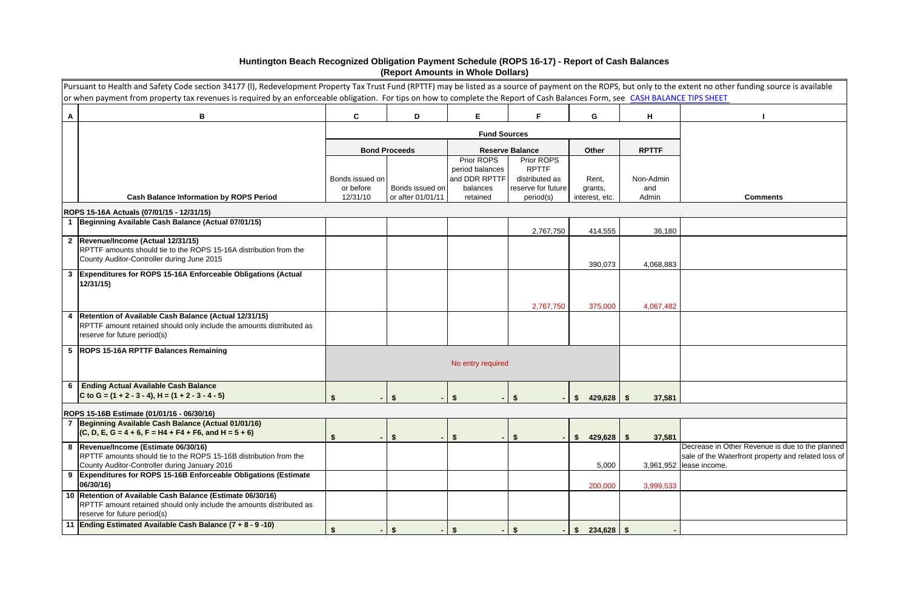|   | Pursuant to Health and Safety Code section 34177 (I), Redevelopment Property Tax Trust Fund (RPTTF) may be listed as a source of payment on the ROPS, but only to the extent no other funding source is available<br>or when payment from property tax revenues is required by an enforceable obligation. For tips on how to complete the Report of Cash Balances Form, see CASH BALANCE TIPS SHEET |                              |                                      |                               |                                      |                           |                |                                                                                                                                   |  |  |  |
|---|-----------------------------------------------------------------------------------------------------------------------------------------------------------------------------------------------------------------------------------------------------------------------------------------------------------------------------------------------------------------------------------------------------|------------------------------|--------------------------------------|-------------------------------|--------------------------------------|---------------------------|----------------|-----------------------------------------------------------------------------------------------------------------------------------|--|--|--|
| A | B                                                                                                                                                                                                                                                                                                                                                                                                   | C                            | D                                    | E.                            | F.                                   | G                         | H              |                                                                                                                                   |  |  |  |
|   |                                                                                                                                                                                                                                                                                                                                                                                                     |                              |                                      | <b>Fund Sources</b>           |                                      |                           |                |                                                                                                                                   |  |  |  |
|   |                                                                                                                                                                                                                                                                                                                                                                                                     |                              | <b>Bond Proceeds</b>                 |                               | <b>Reserve Balance</b>               | Other                     | <b>RPTTF</b>   |                                                                                                                                   |  |  |  |
|   |                                                                                                                                                                                                                                                                                                                                                                                                     |                              |                                      | Prior ROPS<br>period balances | Prior ROPS<br><b>RPTTF</b>           |                           |                |                                                                                                                                   |  |  |  |
|   |                                                                                                                                                                                                                                                                                                                                                                                                     | Bonds issued on<br>or before |                                      | and DDR RPTTF                 | distributed as<br>reserve for future | Rent,                     | Non-Admin      |                                                                                                                                   |  |  |  |
|   | <b>Cash Balance Information by ROPS Period</b>                                                                                                                                                                                                                                                                                                                                                      | 12/31/10                     | Bonds issued on<br>or after 01/01/11 | balances<br>retained          | period(s)                            | grants,<br>interest, etc. | and<br>Admin   | <b>Comments</b>                                                                                                                   |  |  |  |
|   | ROPS 15-16A Actuals (07/01/15 - 12/31/15)                                                                                                                                                                                                                                                                                                                                                           |                              |                                      |                               |                                      |                           |                |                                                                                                                                   |  |  |  |
|   | 1 Beginning Available Cash Balance (Actual 07/01/15)                                                                                                                                                                                                                                                                                                                                                |                              |                                      |                               | 2,767,750                            | 414,555                   | 36,180         |                                                                                                                                   |  |  |  |
|   | 2 Revenue/Income (Actual 12/31/15)                                                                                                                                                                                                                                                                                                                                                                  |                              |                                      |                               |                                      |                           |                |                                                                                                                                   |  |  |  |
|   | RPTTF amounts should tie to the ROPS 15-16A distribution from the                                                                                                                                                                                                                                                                                                                                   |                              |                                      |                               |                                      |                           |                |                                                                                                                                   |  |  |  |
|   | County Auditor-Controller during June 2015                                                                                                                                                                                                                                                                                                                                                          |                              |                                      |                               |                                      | 390,073                   | 4,068,883      |                                                                                                                                   |  |  |  |
|   | 3 Expenditures for ROPS 15-16A Enforceable Obligations (Actual<br>12/31/15                                                                                                                                                                                                                                                                                                                          |                              |                                      |                               |                                      |                           |                |                                                                                                                                   |  |  |  |
|   |                                                                                                                                                                                                                                                                                                                                                                                                     |                              |                                      |                               | 2,767,750                            | 375,000                   | 4,067,482      |                                                                                                                                   |  |  |  |
|   | 4   Retention of Available Cash Balance (Actual 12/31/15)<br>RPTTF amount retained should only include the amounts distributed as<br>reserve for future period(s)                                                                                                                                                                                                                                   |                              |                                      |                               |                                      |                           |                |                                                                                                                                   |  |  |  |
|   | 5   ROPS 15-16A RPTTF Balances Remaining                                                                                                                                                                                                                                                                                                                                                            |                              |                                      | No entry required             |                                      |                           |                |                                                                                                                                   |  |  |  |
| 6 | <b>Ending Actual Available Cash Balance</b>                                                                                                                                                                                                                                                                                                                                                         |                              |                                      |                               |                                      |                           |                |                                                                                                                                   |  |  |  |
|   | C to G = $(1 + 2 - 3 - 4)$ , H = $(1 + 2 - 3 - 4 - 5)$                                                                                                                                                                                                                                                                                                                                              |                              |                                      |                               |                                      | 429,628<br>S.             | 37,581<br>- \$ |                                                                                                                                   |  |  |  |
|   | ROPS 15-16B Estimate (01/01/16 - 06/30/16)                                                                                                                                                                                                                                                                                                                                                          |                              |                                      |                               |                                      |                           |                |                                                                                                                                   |  |  |  |
|   | 7 Beginning Available Cash Balance (Actual 01/01/16)<br>$(C, D, E, G = 4 + 6, F = H4 + F4 + F6, and H = 5 + 6)$                                                                                                                                                                                                                                                                                     | $\blacksquare$               | $\sqrt[6]{2}$                        | $\sqrt{3}$                    | - \$                                 | 429,628<br>S.             | - \$<br>37,581 |                                                                                                                                   |  |  |  |
|   | 8  Revenue/Income (Estimate 06/30/16)<br>RPTTF amounts should tie to the ROPS 15-16B distribution from the<br>County Auditor-Controller during January 2016                                                                                                                                                                                                                                         |                              |                                      |                               |                                      | 5,000                     |                | Decrease in Other Revenue is due to the planned<br>sale of the Waterfront property and related loss of<br>3,961,952 lease income. |  |  |  |
| 9 | Expenditures for ROPS 15-16B Enforceable Obligations (Estimate<br>06/30/16)                                                                                                                                                                                                                                                                                                                         |                              |                                      |                               |                                      | 200,000                   | 3,999,533      |                                                                                                                                   |  |  |  |
|   | 10 Retention of Available Cash Balance (Estimate 06/30/16)<br>RPTTF amount retained should only include the amounts distributed as<br>reserve for future period(s)                                                                                                                                                                                                                                  |                              |                                      |                               |                                      |                           |                |                                                                                                                                   |  |  |  |
|   | 11 Ending Estimated Available Cash Balance (7 + 8 - 9 -10)                                                                                                                                                                                                                                                                                                                                          | \$<br>$\blacksquare$         | \$                                   | 15                            | \$                                   | $-$ \$ 234,628 \$         |                |                                                                                                                                   |  |  |  |

## **Huntington Beach Recognized Obligation Payment Schedule (ROPS 16-17) - Report of Cash Balances (Report Amounts in Whole Dollars)**